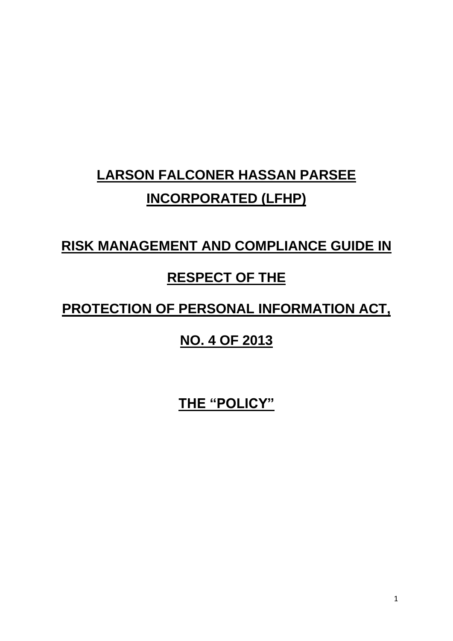# **LARSON FALCONER HASSAN PARSEE INCORPORATED (LFHP)**

## **RISK MANAGEMENT AND COMPLIANCE GUIDE IN**

## **RESPECT OF THE**

## **PROTECTION OF PERSONAL INFORMATION ACT,**

## **NO. 4 OF 2013**

**THE "POLICY"**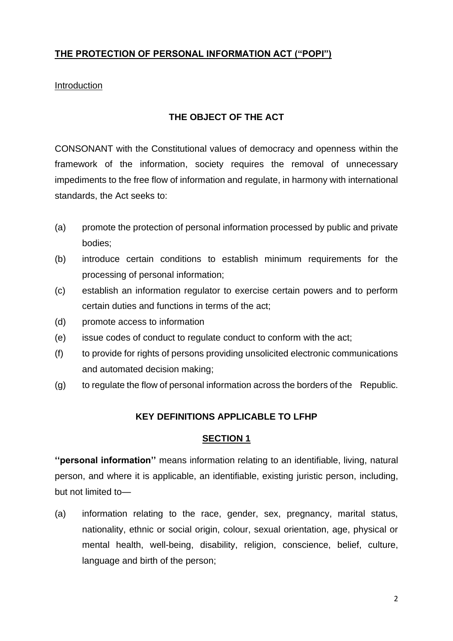## **THE PROTECTION OF PERSONAL INFORMATION ACT ("POPI")**

#### Introduction

#### **THE OBJECT OF THE ACT**

CONSONANT with the Constitutional values of democracy and openness within the framework of the information, society requires the removal of unnecessary impediments to the free flow of information and regulate, in harmony with international standards, the Act seeks to:

- (a) promote the protection of personal information processed by public and private bodies;
- (b) introduce certain conditions to establish minimum requirements for the processing of personal information;
- (c) establish an information regulator to exercise certain powers and to perform certain duties and functions in terms of the act;
- (d) promote access to information
- (e) issue codes of conduct to regulate conduct to conform with the act;
- (f) to provide for rights of persons providing unsolicited electronic communications and automated decision making;
- (g) to regulate the flow of personal information across the borders of the Republic.

## **KEY DEFINITIONS APPLICABLE TO LFHP**

#### **SECTION 1**

**''personal information''** means information relating to an identifiable, living, natural person, and where it is applicable, an identifiable, existing juristic person, including, but not limited to—

(a) information relating to the race, gender, sex, pregnancy, marital status, nationality, ethnic or social origin, colour, sexual orientation, age, physical or mental health, well-being, disability, religion, conscience, belief, culture, language and birth of the person;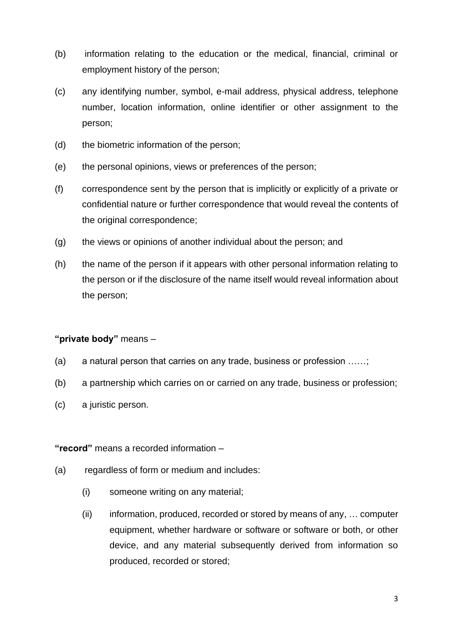- (b) information relating to the education or the medical, financial, criminal or employment history of the person;
- (c) any identifying number, symbol, e-mail address, physical address, telephone number, location information, online identifier or other assignment to the person;
- (d) the biometric information of the person;
- (e) the personal opinions, views or preferences of the person;
- (f) correspondence sent by the person that is implicitly or explicitly of a private or confidential nature or further correspondence that would reveal the contents of the original correspondence;
- (g) the views or opinions of another individual about the person; and
- (h) the name of the person if it appears with other personal information relating to the person or if the disclosure of the name itself would reveal information about the person;

#### **"private body"** means –

- (a) a natural person that carries on any trade, business or profession ......;
- (b) a partnership which carries on or carried on any trade, business or profession;
- (c) a juristic person.

#### **"record"** means a recorded information –

- (a) regardless of form or medium and includes:
	- (i) someone writing on any material;
	- (ii) information, produced, recorded or stored by means of any, … computer equipment, whether hardware or software or software or both, or other device, and any material subsequently derived from information so produced, recorded or stored;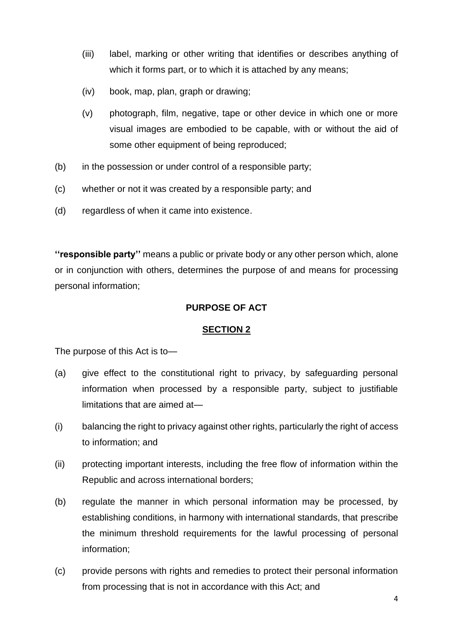- (iii) label, marking or other writing that identifies or describes anything of which it forms part, or to which it is attached by any means;
- (iv) book, map, plan, graph or drawing;
- (v) photograph, film, negative, tape or other device in which one or more visual images are embodied to be capable, with or without the aid of some other equipment of being reproduced;
- (b) in the possession or under control of a responsible party;
- (c) whether or not it was created by a responsible party; and
- (d) regardless of when it came into existence.

**''responsible party''** means a public or private body or any other person which, alone or in conjunction with others, determines the purpose of and means for processing personal information;

## **PURPOSE OF ACT**

#### **SECTION 2**

The purpose of this Act is to—

- (a) give effect to the constitutional right to privacy, by safeguarding personal information when processed by a responsible party, subject to justifiable limitations that are aimed at—
- (i) balancing the right to privacy against other rights, particularly the right of access to information; and
- (ii) protecting important interests, including the free flow of information within the Republic and across international borders;
- (b) regulate the manner in which personal information may be processed, by establishing conditions, in harmony with international standards, that prescribe the minimum threshold requirements for the lawful processing of personal information;
- (c) provide persons with rights and remedies to protect their personal information from processing that is not in accordance with this Act; and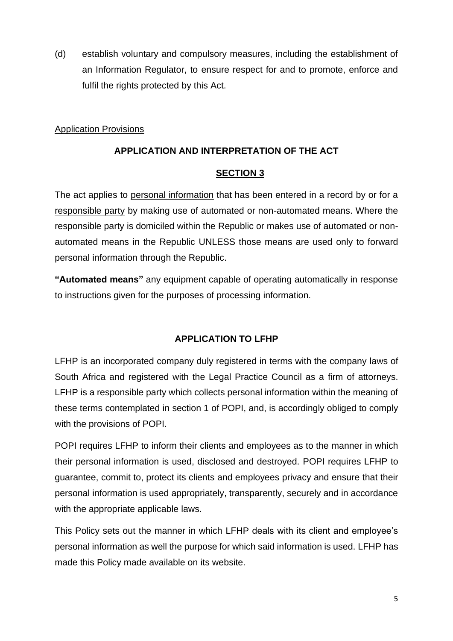(d) establish voluntary and compulsory measures, including the establishment of an Information Regulator, to ensure respect for and to promote, enforce and fulfil the rights protected by this Act.

#### Application Provisions

## **APPLICATION AND INTERPRETATION OF THE ACT**

## **SECTION 3**

The act applies to personal information that has been entered in a record by or for a responsible party by making use of automated or non-automated means. Where the responsible party is domiciled within the Republic or makes use of automated or nonautomated means in the Republic UNLESS those means are used only to forward personal information through the Republic.

**"Automated means"** any equipment capable of operating automatically in response to instructions given for the purposes of processing information.

## **APPLICATION TO LFHP**

LFHP is an incorporated company duly registered in terms with the company laws of South Africa and registered with the Legal Practice Council as a firm of attorneys. LFHP is a responsible party which collects personal information within the meaning of these terms contemplated in section 1 of POPI, and, is accordingly obliged to comply with the provisions of POPI.

POPI requires LFHP to inform their clients and employees as to the manner in which their personal information is used, disclosed and destroyed. POPI requires LFHP to guarantee, commit to, protect its clients and employees privacy and ensure that their personal information is used appropriately, transparently, securely and in accordance with the appropriate applicable laws.

This Policy sets out the manner in which LFHP deals with its client and employee's personal information as well the purpose for which said information is used. LFHP has made this Policy made available on its website.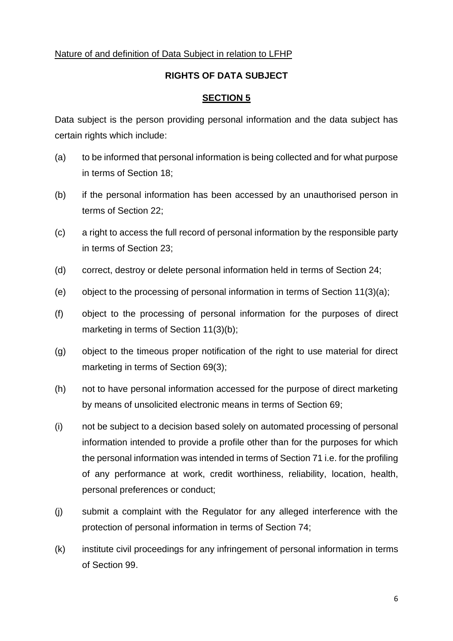#### Nature of and definition of Data Subject in relation to LFHP

#### **RIGHTS OF DATA SUBJECT**

#### **SECTION 5**

Data subject is the person providing personal information and the data subject has certain rights which include:

- (a) to be informed that personal information is being collected and for what purpose in terms of Section 18;
- (b) if the personal information has been accessed by an unauthorised person in terms of Section 22;
- (c) a right to access the full record of personal information by the responsible party in terms of Section 23;
- (d) correct, destroy or delete personal information held in terms of Section 24;
- (e) object to the processing of personal information in terms of Section 11(3)(a);
- (f) object to the processing of personal information for the purposes of direct marketing in terms of Section 11(3)(b);
- (g) object to the timeous proper notification of the right to use material for direct marketing in terms of Section 69(3);
- (h) not to have personal information accessed for the purpose of direct marketing by means of unsolicited electronic means in terms of Section 69;
- (i) not be subject to a decision based solely on automated processing of personal information intended to provide a profile other than for the purposes for which the personal information was intended in terms of Section 71 i.e. for the profiling of any performance at work, credit worthiness, reliability, location, health, personal preferences or conduct;
- (j) submit a complaint with the Regulator for any alleged interference with the protection of personal information in terms of Section 74;
- (k) institute civil proceedings for any infringement of personal information in terms of Section 99.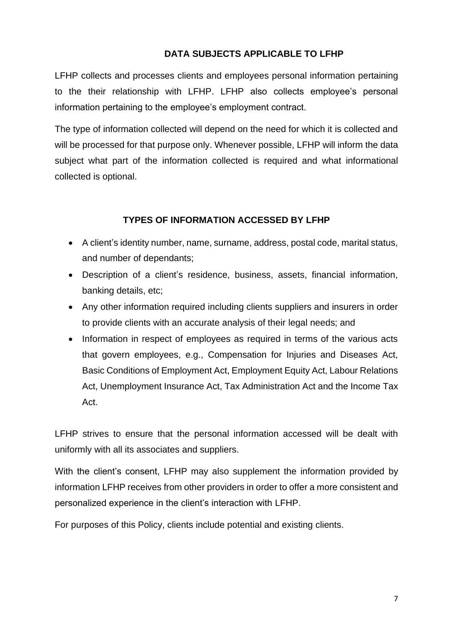## **DATA SUBJECTS APPLICABLE TO LFHP**

LFHP collects and processes clients and employees personal information pertaining to the their relationship with LFHP. LFHP also collects employee's personal information pertaining to the employee's employment contract.

The type of information collected will depend on the need for which it is collected and will be processed for that purpose only. Whenever possible, LFHP will inform the data subject what part of the information collected is required and what informational collected is optional.

## **TYPES OF INFORMATION ACCESSED BY LFHP**

- A client's identity number, name, surname, address, postal code, marital status, and number of dependants;
- Description of a client's residence, business, assets, financial information, banking details, etc;
- Any other information required including clients suppliers and insurers in order to provide clients with an accurate analysis of their legal needs; and
- Information in respect of employees as required in terms of the various acts that govern employees, e.g., Compensation for Injuries and Diseases Act, Basic Conditions of Employment Act, Employment Equity Act, Labour Relations Act, Unemployment Insurance Act, Tax Administration Act and the Income Tax Act.

LFHP strives to ensure that the personal information accessed will be dealt with uniformly with all its associates and suppliers.

With the client's consent. LFHP may also supplement the information provided by information LFHP receives from other providers in order to offer a more consistent and personalized experience in the client's interaction with LFHP.

For purposes of this Policy, clients include potential and existing clients.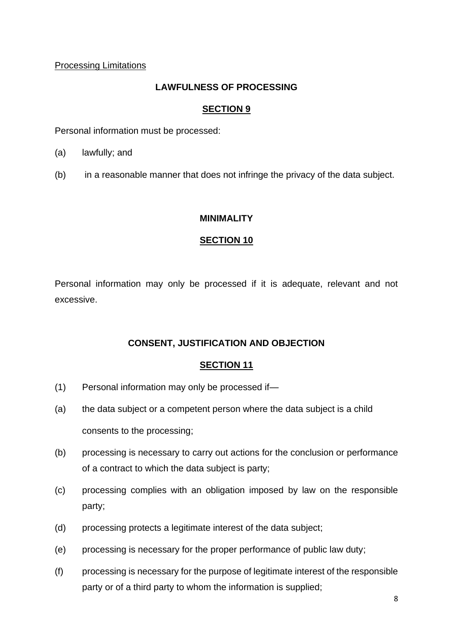Processing Limitations

## **LAWFULNESS OF PROCESSING**

## **SECTION 9**

Personal information must be processed:

- (a) lawfully; and
- (b) in a reasonable manner that does not infringe the privacy of the data subject.

## **MINIMALITY**

## **SECTION 10**

Personal information may only be processed if it is adequate, relevant and not excessive.

## **CONSENT, JUSTIFICATION AND OBJECTION**

- (1) Personal information may only be processed if—
- (a) the data subject or a competent person where the data subject is a child consents to the processing;
- (b) processing is necessary to carry out actions for the conclusion or performance of a contract to which the data subject is party;
- (c) processing complies with an obligation imposed by law on the responsible party;
- (d) processing protects a legitimate interest of the data subject;
- (e) processing is necessary for the proper performance of public law duty;
- (f) processing is necessary for the purpose of legitimate interest of the responsible party or of a third party to whom the information is supplied;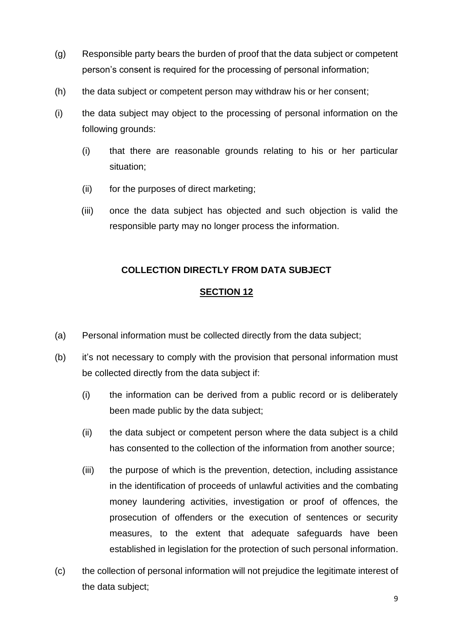- (g) Responsible party bears the burden of proof that the data subject or competent person's consent is required for the processing of personal information;
- (h) the data subject or competent person may withdraw his or her consent;
- (i) the data subject may object to the processing of personal information on the following grounds:
	- (i) that there are reasonable grounds relating to his or her particular situation;
	- (ii) for the purposes of direct marketing;
	- (iii) once the data subject has objected and such objection is valid the responsible party may no longer process the information.

## **COLLECTION DIRECTLY FROM DATA SUBJECT**

- (a) Personal information must be collected directly from the data subject;
- (b) it's not necessary to comply with the provision that personal information must be collected directly from the data subject if:
	- (i) the information can be derived from a public record or is deliberately been made public by the data subject;
	- (ii) the data subject or competent person where the data subject is a child has consented to the collection of the information from another source;
	- (iii) the purpose of which is the prevention, detection, including assistance in the identification of proceeds of unlawful activities and the combating money laundering activities, investigation or proof of offences, the prosecution of offenders or the execution of sentences or security measures, to the extent that adequate safeguards have been established in legislation for the protection of such personal information.
- (c) the collection of personal information will not prejudice the legitimate interest of the data subject;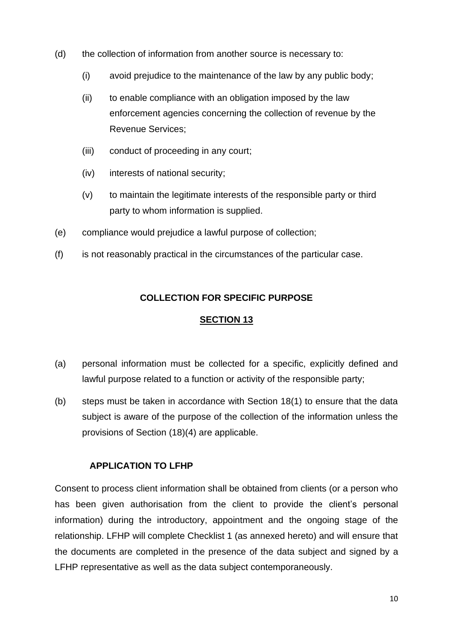- (d) the collection of information from another source is necessary to:
	- (i) avoid prejudice to the maintenance of the law by any public body;
	- (ii) to enable compliance with an obligation imposed by the law enforcement agencies concerning the collection of revenue by the Revenue Services;
	- (iii) conduct of proceeding in any court;
	- (iv) interests of national security;
	- (v) to maintain the legitimate interests of the responsible party or third party to whom information is supplied.
- (e) compliance would prejudice a lawful purpose of collection;
- (f) is not reasonably practical in the circumstances of the particular case.

#### **COLLECTION FOR SPECIFIC PURPOSE**

#### **SECTION 13**

- (a) personal information must be collected for a specific, explicitly defined and lawful purpose related to a function or activity of the responsible party;
- (b) steps must be taken in accordance with Section 18(1) to ensure that the data subject is aware of the purpose of the collection of the information unless the provisions of Section (18)(4) are applicable.

#### **APPLICATION TO LFHP**

Consent to process client information shall be obtained from clients (or a person who has been given authorisation from the client to provide the client's personal information) during the introductory, appointment and the ongoing stage of the relationship. LFHP will complete Checklist 1 (as annexed hereto) and will ensure that the documents are completed in the presence of the data subject and signed by a LFHP representative as well as the data subject contemporaneously.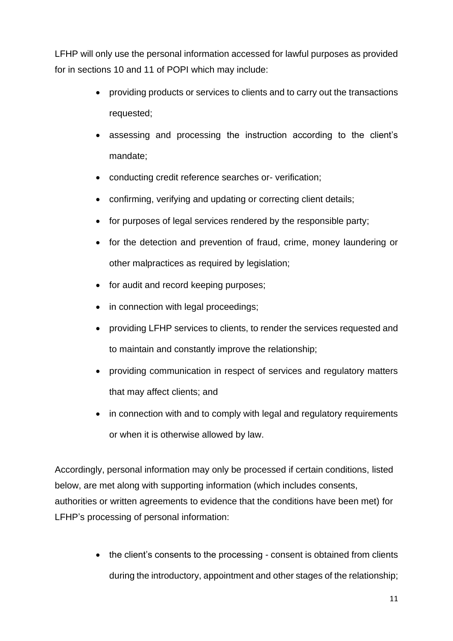LFHP will only use the personal information accessed for lawful purposes as provided for in sections 10 and 11 of POPI which may include:

- providing products or services to clients and to carry out the transactions requested;
- assessing and processing the instruction according to the client's mandate;
- conducting credit reference searches or- verification;
- confirming, verifying and updating or correcting client details;
- for purposes of legal services rendered by the responsible party;
- for the detection and prevention of fraud, crime, money laundering or other malpractices as required by legislation;
- for audit and record keeping purposes;
- in connection with legal proceedings;
- providing LFHP services to clients, to render the services requested and to maintain and constantly improve the relationship;
- providing communication in respect of services and regulatory matters that may affect clients; and
- in connection with and to comply with legal and regulatory requirements or when it is otherwise allowed by law.

Accordingly, personal information may only be processed if certain conditions, listed below, are met along with supporting information (which includes consents, authorities or written agreements to evidence that the conditions have been met) for LFHP's processing of personal information:

> • the client's consents to the processing - consent is obtained from clients during the introductory, appointment and other stages of the relationship;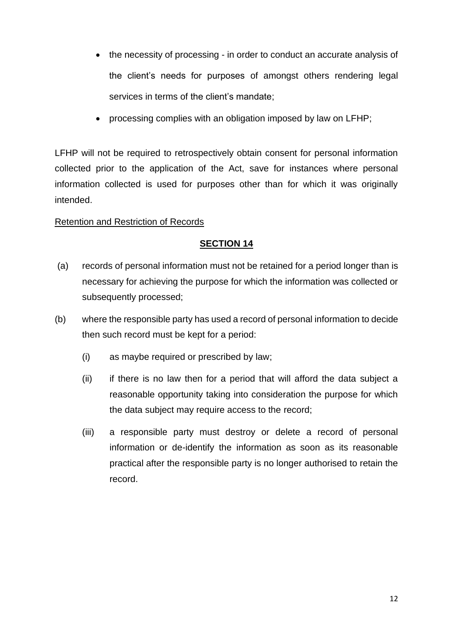- the necessity of processing in order to conduct an accurate analysis of the client's needs for purposes of amongst others rendering legal services in terms of the client's mandate;
- processing complies with an obligation imposed by law on LFHP;

LFHP will not be required to retrospectively obtain consent for personal information collected prior to the application of the Act, save for instances where personal information collected is used for purposes other than for which it was originally intended.

## Retention and Restriction of Records

- (a) records of personal information must not be retained for a period longer than is necessary for achieving the purpose for which the information was collected or subsequently processed;
- (b) where the responsible party has used a record of personal information to decide then such record must be kept for a period:
	- (i) as maybe required or prescribed by law;
	- (ii) if there is no law then for a period that will afford the data subject a reasonable opportunity taking into consideration the purpose for which the data subject may require access to the record;
	- (iii) a responsible party must destroy or delete a record of personal information or de-identify the information as soon as its reasonable practical after the responsible party is no longer authorised to retain the record.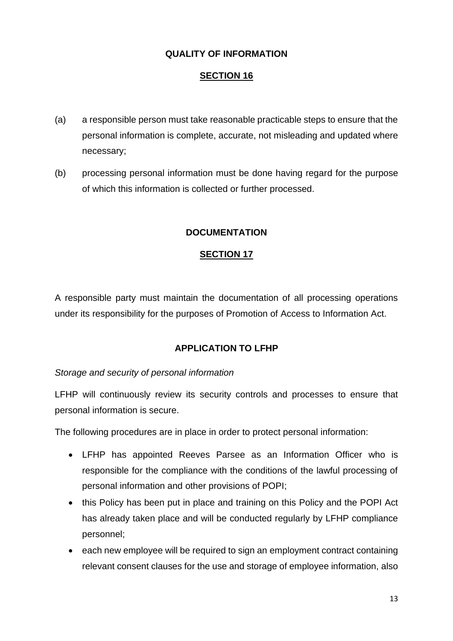## **QUALITY OF INFORMATION**

#### **SECTION 16**

- (a) a responsible person must take reasonable practicable steps to ensure that the personal information is complete, accurate, not misleading and updated where necessary;
- (b) processing personal information must be done having regard for the purpose of which this information is collected or further processed.

#### **DOCUMENTATION**

#### **SECTION 17**

A responsible party must maintain the documentation of all processing operations under its responsibility for the purposes of Promotion of Access to Information Act.

#### **APPLICATION TO LFHP**

#### *Storage and security of personal information*

LFHP will continuously review its security controls and processes to ensure that personal information is secure.

The following procedures are in place in order to protect personal information:

- LFHP has appointed Reeves Parsee as an Information Officer who is responsible for the compliance with the conditions of the lawful processing of personal information and other provisions of POPI;
- this Policy has been put in place and training on this Policy and the POPI Act has already taken place and will be conducted regularly by LFHP compliance personnel;
- each new employee will be required to sign an employment contract containing relevant consent clauses for the use and storage of employee information, also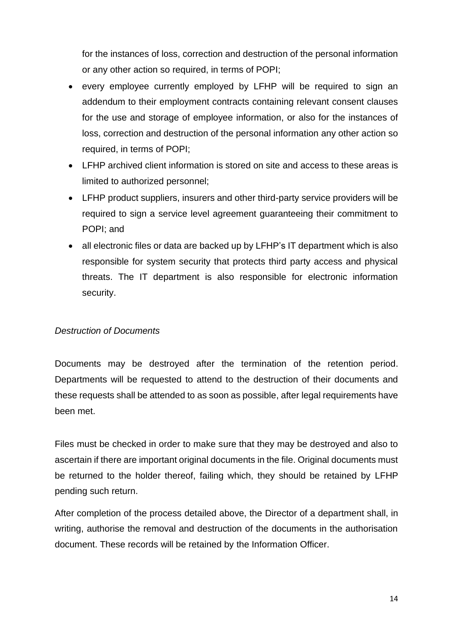for the instances of loss, correction and destruction of the personal information or any other action so required, in terms of POPI;

- every employee currently employed by LFHP will be required to sign an addendum to their employment contracts containing relevant consent clauses for the use and storage of employee information, or also for the instances of loss, correction and destruction of the personal information any other action so required, in terms of POPI;
- LFHP archived client information is stored on site and access to these areas is limited to authorized personnel;
- LFHP product suppliers, insurers and other third-party service providers will be required to sign a service level agreement guaranteeing their commitment to POPI; and
- all electronic files or data are backed up by LFHP's IT department which is also responsible for system security that protects third party access and physical threats. The IT department is also responsible for electronic information security.

#### *Destruction of Documents*

Documents may be destroyed after the termination of the retention period. Departments will be requested to attend to the destruction of their documents and these requests shall be attended to as soon as possible, after legal requirements have been met.

Files must be checked in order to make sure that they may be destroyed and also to ascertain if there are important original documents in the file. Original documents must be returned to the holder thereof, failing which, they should be retained by LFHP pending such return.

After completion of the process detailed above, the Director of a department shall, in writing, authorise the removal and destruction of the documents in the authorisation document. These records will be retained by the Information Officer.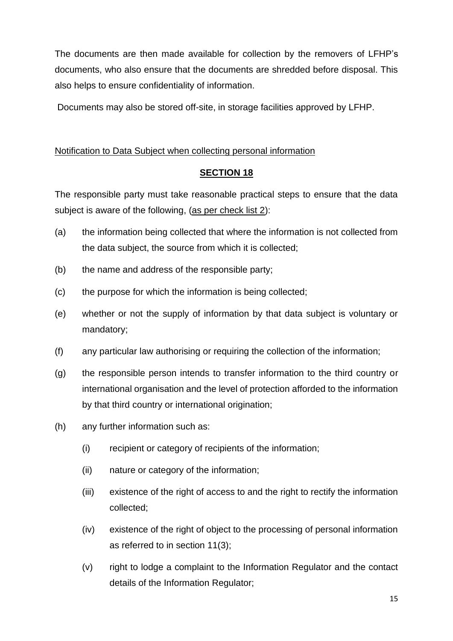The documents are then made available for collection by the removers of LFHP's documents, who also ensure that the documents are shredded before disposal. This also helps to ensure confidentiality of information.

Documents may also be stored off-site, in storage facilities approved by LFHP.

## Notification to Data Subject when collecting personal information

## **SECTION 18**

The responsible party must take reasonable practical steps to ensure that the data subject is aware of the following, (as per check list 2):

- (a) the information being collected that where the information is not collected from the data subject, the source from which it is collected;
- (b) the name and address of the responsible party;
- (c) the purpose for which the information is being collected;
- (e) whether or not the supply of information by that data subject is voluntary or mandatory;
- (f) any particular law authorising or requiring the collection of the information;
- (g) the responsible person intends to transfer information to the third country or international organisation and the level of protection afforded to the information by that third country or international origination:
- (h) any further information such as:
	- (i) recipient or category of recipients of the information;
	- (ii) nature or category of the information;
	- (iii) existence of the right of access to and the right to rectify the information collected;
	- (iv) existence of the right of object to the processing of personal information as referred to in section 11(3);
	- (v) right to lodge a complaint to the Information Regulator and the contact details of the Information Regulator;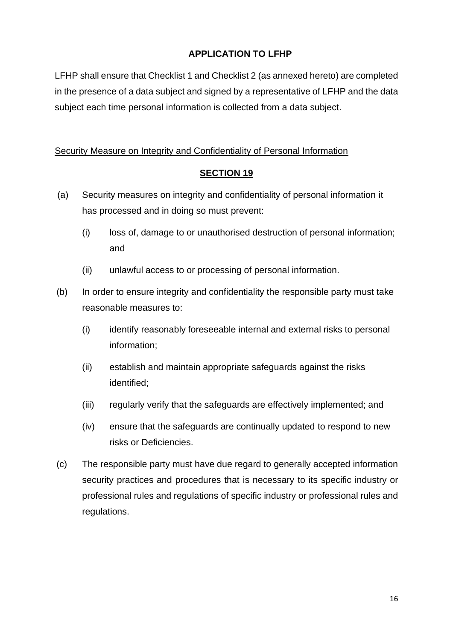## **APPLICATION TO LFHP**

LFHP shall ensure that Checklist 1 and Checklist 2 (as annexed hereto) are completed in the presence of a data subject and signed by a representative of LFHP and the data subject each time personal information is collected from a data subject.

## Security Measure on Integrity and Confidentiality of Personal Information

- (a) Security measures on integrity and confidentiality of personal information it has processed and in doing so must prevent:
	- (i) loss of, damage to or unauthorised destruction of personal information; and
	- (ii) unlawful access to or processing of personal information.
- (b) In order to ensure integrity and confidentiality the responsible party must take reasonable measures to:
	- (i) identify reasonably foreseeable internal and external risks to personal information;
	- (ii) establish and maintain appropriate safeguards against the risks identified;
	- (iii) regularly verify that the safeguards are effectively implemented; and
	- (iv) ensure that the safeguards are continually updated to respond to new risks or Deficiencies.
- (c) The responsible party must have due regard to generally accepted information security practices and procedures that is necessary to its specific industry or professional rules and regulations of specific industry or professional rules and regulations.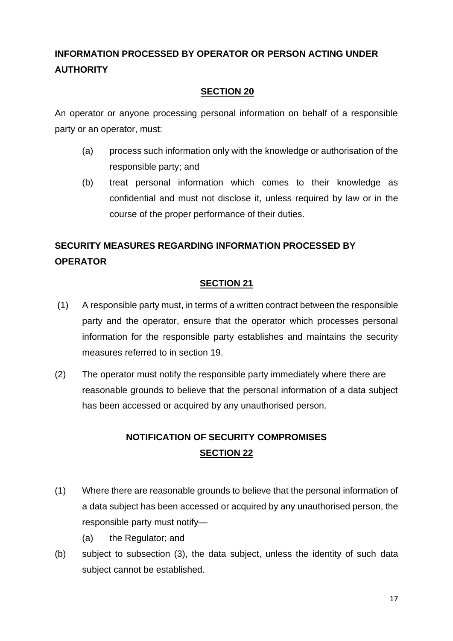## **INFORMATION PROCESSED BY OPERATOR OR PERSON ACTING UNDER AUTHORITY**

## **SECTION 20**

An operator or anyone processing personal information on behalf of a responsible party or an operator, must:

- (a) process such information only with the knowledge or authorisation of the responsible party; and
- (b) treat personal information which comes to their knowledge as confidential and must not disclose it, unless required by law or in the course of the proper performance of their duties.

## **SECURITY MEASURES REGARDING INFORMATION PROCESSED BY OPERATOR**

## **SECTION 21**

- (1) A responsible party must, in terms of a written contract between the responsible party and the operator, ensure that the operator which processes personal information for the responsible party establishes and maintains the security measures referred to in section 19.
- (2) The operator must notify the responsible party immediately where there are reasonable grounds to believe that the personal information of a data subject has been accessed or acquired by any unauthorised person.

## **NOTIFICATION OF SECURITY COMPROMISES SECTION 22**

- (1) Where there are reasonable grounds to believe that the personal information of a data subject has been accessed or acquired by any unauthorised person, the responsible party must notify—
	- (a) the Regulator; and
- (b) subject to subsection (3), the data subject, unless the identity of such data subject cannot be established.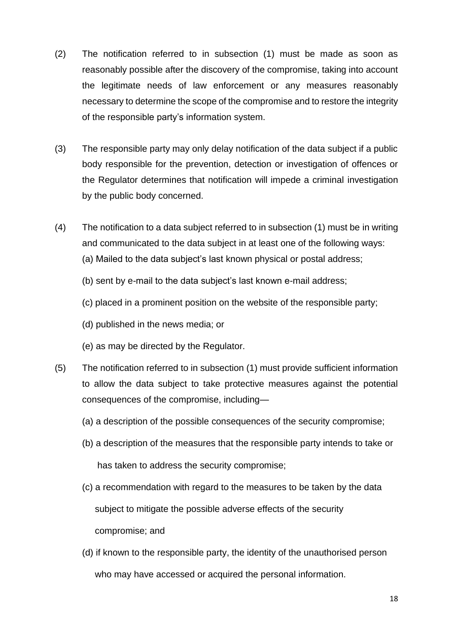- (2) The notification referred to in subsection (1) must be made as soon as reasonably possible after the discovery of the compromise, taking into account the legitimate needs of law enforcement or any measures reasonably necessary to determine the scope of the compromise and to restore the integrity of the responsible party's information system.
- (3) The responsible party may only delay notification of the data subject if a public body responsible for the prevention, detection or investigation of offences or the Regulator determines that notification will impede a criminal investigation by the public body concerned.
- (4) The notification to a data subject referred to in subsection (1) must be in writing and communicated to the data subject in at least one of the following ways:
	- (a) Mailed to the data subject's last known physical or postal address;
	- (b) sent by e-mail to the data subject's last known e-mail address;
	- (c) placed in a prominent position on the website of the responsible party;
	- (d) published in the news media; or
	- (e) as may be directed by the Regulator.
- (5) The notification referred to in subsection (1) must provide sufficient information to allow the data subject to take protective measures against the potential consequences of the compromise, including—
	- (a) a description of the possible consequences of the security compromise;
	- (b) a description of the measures that the responsible party intends to take or has taken to address the security compromise;
	- (c) a recommendation with regard to the measures to be taken by the data subject to mitigate the possible adverse effects of the security compromise; and
	- (d) if known to the responsible party, the identity of the unauthorised person who may have accessed or acquired the personal information.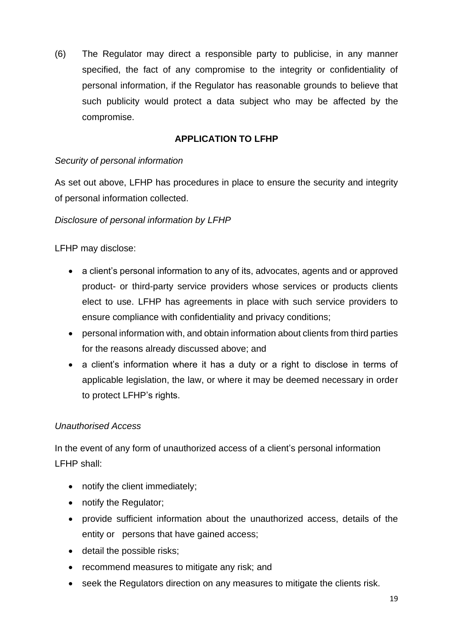(6) The Regulator may direct a responsible party to publicise, in any manner specified, the fact of any compromise to the integrity or confidentiality of personal information, if the Regulator has reasonable grounds to believe that such publicity would protect a data subject who may be affected by the compromise.

## **APPLICATION TO LFHP**

#### *Security of personal information*

As set out above, LFHP has procedures in place to ensure the security and integrity of personal information collected.

#### *Disclosure of personal information by LFHP*

LFHP may disclose:

- a client's personal information to any of its, advocates, agents and or approved product- or third-party service providers whose services or products clients elect to use. LFHP has agreements in place with such service providers to ensure compliance with confidentiality and privacy conditions;
- personal information with, and obtain information about clients from third parties for the reasons already discussed above; and
- a client's information where it has a duty or a right to disclose in terms of applicable legislation, the law, or where it may be deemed necessary in order to protect LFHP's rights.

## *Unauthorised Access*

In the event of any form of unauthorized access of a client's personal information LFHP shall:

- notify the client immediately;
- notify the Regulator;
- provide sufficient information about the unauthorized access, details of the entity or persons that have gained access;
- detail the possible risks;
- recommend measures to mitigate any risk; and
- seek the Regulators direction on any measures to mitigate the clients risk.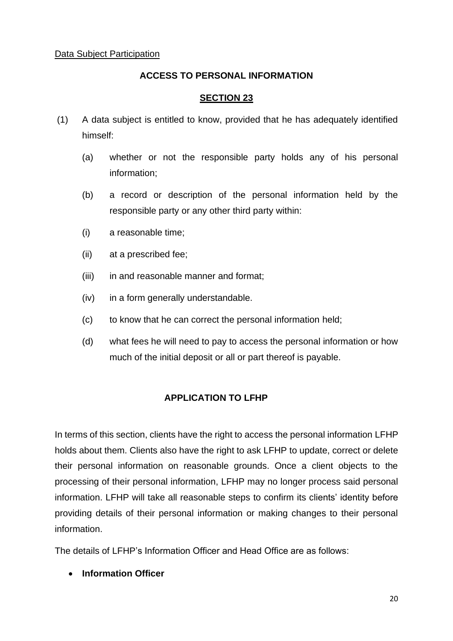#### **ACCESS TO PERSONAL INFORMATION**

#### **SECTION 23**

- (1) A data subject is entitled to know, provided that he has adequately identified himself:
	- (a) whether or not the responsible party holds any of his personal information;
	- (b) a record or description of the personal information held by the responsible party or any other third party within:
	- (i) a reasonable time;
	- (ii) at a prescribed fee;
	- (iii) in and reasonable manner and format;
	- (iv) in a form generally understandable.
	- (c) to know that he can correct the personal information held;
	- (d) what fees he will need to pay to access the personal information or how much of the initial deposit or all or part thereof is payable.

## **APPLICATION TO LFHP**

In terms of this section, clients have the right to access the personal information LFHP holds about them. Clients also have the right to ask LFHP to update, correct or delete their personal information on reasonable grounds. Once a client objects to the processing of their personal information, LFHP may no longer process said personal information. LFHP will take all reasonable steps to confirm its clients' identity before providing details of their personal information or making changes to their personal information.

The details of LFHP's Information Officer and Head Office are as follows:

• **Information Officer**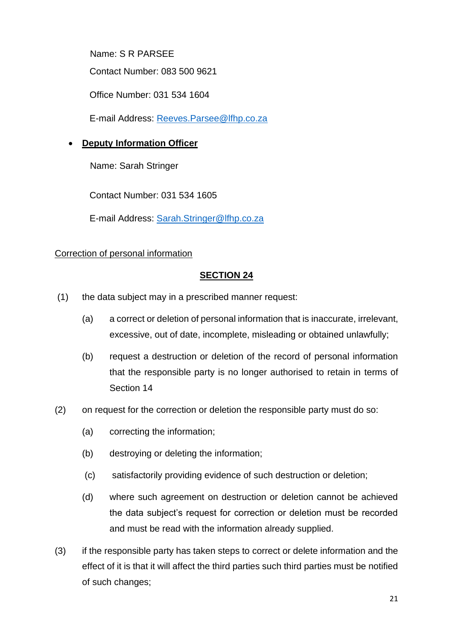Name: S R PARSEE

Contact Number: 083 500 9621

Office Number: 031 534 1604

E-mail Address: [Reeves.Parsee@lfhp.co.za](mailto:Reeves.Parsee@lfhp.co.za)

## • **Deputy Information Officer**

Name: Sarah Stringer

Contact Number: 031 534 1605

E-mail Address: [Sarah.Stringer@lfhp.co.za](mailto:Sarah.Stringer@lfhp.co.za)

## Correction of personal information

- (1) the data subject may in a prescribed manner request:
	- (a) a correct or deletion of personal information that is inaccurate, irrelevant, excessive, out of date, incomplete, misleading or obtained unlawfully;
	- (b) request a destruction or deletion of the record of personal information that the responsible party is no longer authorised to retain in terms of Section 14
- (2) on request for the correction or deletion the responsible party must do so:
	- (a) correcting the information;
	- (b) destroying or deleting the information;
	- (c) satisfactorily providing evidence of such destruction or deletion;
	- (d) where such agreement on destruction or deletion cannot be achieved the data subject's request for correction or deletion must be recorded and must be read with the information already supplied.
- (3) if the responsible party has taken steps to correct or delete information and the effect of it is that it will affect the third parties such third parties must be notified of such changes;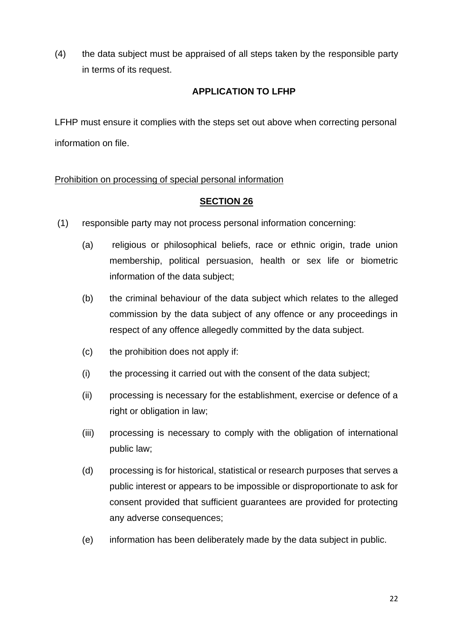(4) the data subject must be appraised of all steps taken by the responsible party in terms of its request.

## **APPLICATION TO LFHP**

LFHP must ensure it complies with the steps set out above when correcting personal information on file.

## Prohibition on processing of special personal information

- (1) responsible party may not process personal information concerning:
	- (a) religious or philosophical beliefs, race or ethnic origin, trade union membership, political persuasion, health or sex life or biometric information of the data subject;
	- (b) the criminal behaviour of the data subject which relates to the alleged commission by the data subject of any offence or any proceedings in respect of any offence allegedly committed by the data subject.
	- (c) the prohibition does not apply if:
	- (i) the processing it carried out with the consent of the data subject;
	- (ii) processing is necessary for the establishment, exercise or defence of a right or obligation in law;
	- (iii) processing is necessary to comply with the obligation of international public law;
	- (d) processing is for historical, statistical or research purposes that serves a public interest or appears to be impossible or disproportionate to ask for consent provided that sufficient guarantees are provided for protecting any adverse consequences;
	- (e) information has been deliberately made by the data subject in public.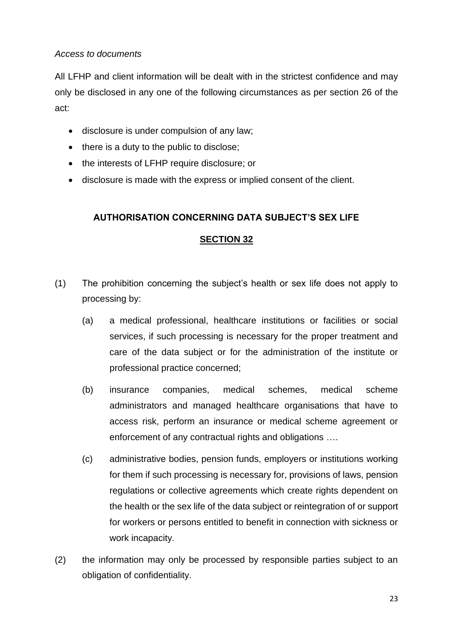## *Access to documents*

All LFHP and client information will be dealt with in the strictest confidence and may only be disclosed in any one of the following circumstances as per section 26 of the act:

- disclosure is under compulsion of any law;
- there is a duty to the public to disclose;
- the interests of LFHP require disclosure; or
- disclosure is made with the express or implied consent of the client.

## **AUTHORISATION CONCERNING DATA SUBJECT'S SEX LIFE**

- (1) The prohibition concerning the subject's health or sex life does not apply to processing by:
	- (a) a medical professional, healthcare institutions or facilities or social services, if such processing is necessary for the proper treatment and care of the data subject or for the administration of the institute or professional practice concerned;
	- (b) insurance companies, medical schemes, medical scheme administrators and managed healthcare organisations that have to access risk, perform an insurance or medical scheme agreement or enforcement of any contractual rights and obligations ….
	- (c) administrative bodies, pension funds, employers or institutions working for them if such processing is necessary for, provisions of laws, pension regulations or collective agreements which create rights dependent on the health or the sex life of the data subject or reintegration of or support for workers or persons entitled to benefit in connection with sickness or work incapacity.
- (2) the information may only be processed by responsible parties subject to an obligation of confidentiality.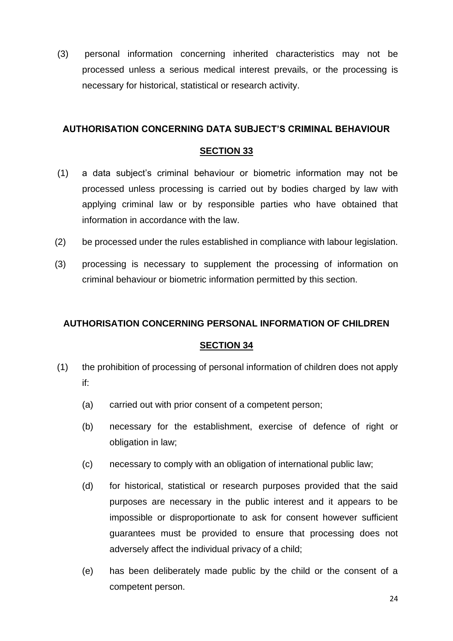(3) personal information concerning inherited characteristics may not be processed unless a serious medical interest prevails, or the processing is necessary for historical, statistical or research activity.

#### **AUTHORISATION CONCERNING DATA SUBJECT'S CRIMINAL BEHAVIOUR**

#### **SECTION 33**

- (1) a data subject's criminal behaviour or biometric information may not be processed unless processing is carried out by bodies charged by law with applying criminal law or by responsible parties who have obtained that information in accordance with the law.
- (2) be processed under the rules established in compliance with labour legislation.
- (3) processing is necessary to supplement the processing of information on criminal behaviour or biometric information permitted by this section.

#### **AUTHORISATION CONCERNING PERSONAL INFORMATION OF CHILDREN**

- (1) the prohibition of processing of personal information of children does not apply if:
	- (a) carried out with prior consent of a competent person;
	- (b) necessary for the establishment, exercise of defence of right or obligation in law;
	- (c) necessary to comply with an obligation of international public law;
	- (d) for historical, statistical or research purposes provided that the said purposes are necessary in the public interest and it appears to be impossible or disproportionate to ask for consent however sufficient guarantees must be provided to ensure that processing does not adversely affect the individual privacy of a child;
	- (e) has been deliberately made public by the child or the consent of a competent person.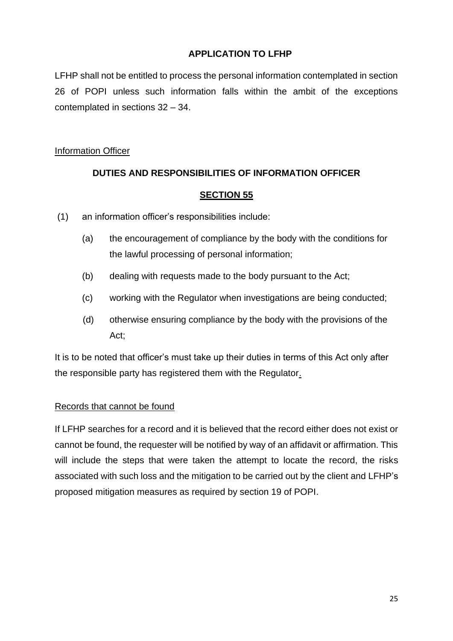#### **APPLICATION TO LFHP**

LFHP shall not be entitled to process the personal information contemplated in section 26 of POPI unless such information falls within the ambit of the exceptions contemplated in sections 32 – 34.

#### Information Officer

## **DUTIES AND RESPONSIBILITIES OF INFORMATION OFFICER**

#### **SECTION 55**

- (1) an information officer's responsibilities include:
	- (a) the encouragement of compliance by the body with the conditions for the lawful processing of personal information;
	- (b) dealing with requests made to the body pursuant to the Act;
	- (c) working with the Regulator when investigations are being conducted;
	- (d) otherwise ensuring compliance by the body with the provisions of the Act;

It is to be noted that officer's must take up their duties in terms of this Act only after the responsible party has registered them with the Regulator.

#### Records that cannot be found

If LFHP searches for a record and it is believed that the record either does not exist or cannot be found, the requester will be notified by way of an affidavit or affirmation. This will include the steps that were taken the attempt to locate the record, the risks associated with such loss and the mitigation to be carried out by the client and LFHP's proposed mitigation measures as required by section 19 of POPI.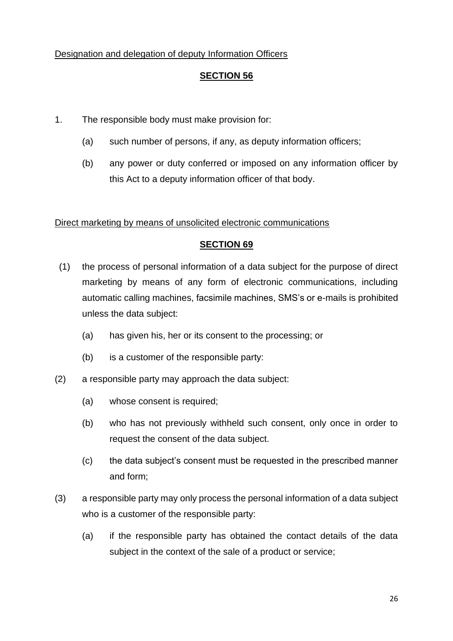## Designation and delegation of deputy Information Officers

## **SECTION 56**

- 1. The responsible body must make provision for:
	- (a) such number of persons, if any, as deputy information officers;
	- (b) any power or duty conferred or imposed on any information officer by this Act to a deputy information officer of that body.

#### Direct marketing by means of unsolicited electronic communications

- (1) the process of personal information of a data subject for the purpose of direct marketing by means of any form of electronic communications, including automatic calling machines, facsimile machines, SMS's or e-mails is prohibited unless the data subject:
	- (a) has given his, her or its consent to the processing; or
	- (b) is a customer of the responsible party:
- (2) a responsible party may approach the data subject:
	- (a) whose consent is required;
	- (b) who has not previously withheld such consent, only once in order to request the consent of the data subject.
	- (c) the data subject's consent must be requested in the prescribed manner and form;
- (3) a responsible party may only process the personal information of a data subject who is a customer of the responsible party:
	- (a) if the responsible party has obtained the contact details of the data subject in the context of the sale of a product or service;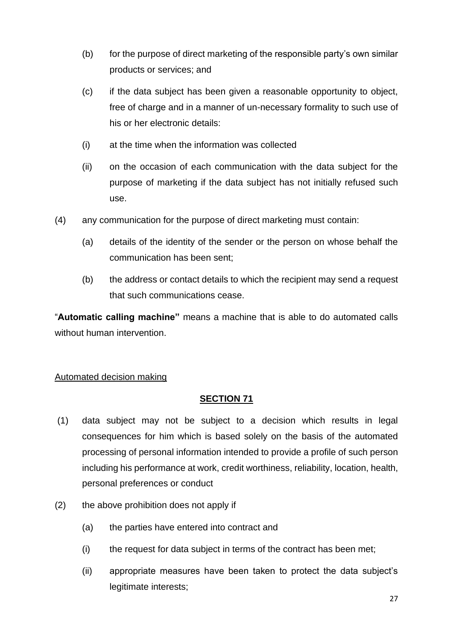- (b) for the purpose of direct marketing of the responsible party's own similar products or services; and
- (c) if the data subject has been given a reasonable opportunity to object, free of charge and in a manner of un-necessary formality to such use of his or her electronic details:
- (i) at the time when the information was collected
- (ii) on the occasion of each communication with the data subject for the purpose of marketing if the data subject has not initially refused such use.
- (4) any communication for the purpose of direct marketing must contain:
	- (a) details of the identity of the sender or the person on whose behalf the communication has been sent;
	- (b) the address or contact details to which the recipient may send a request that such communications cease.

"**Automatic calling machine"** means a machine that is able to do automated calls without human intervention.

## Automated decision making

- (1) data subject may not be subject to a decision which results in legal consequences for him which is based solely on the basis of the automated processing of personal information intended to provide a profile of such person including his performance at work, credit worthiness, reliability, location, health, personal preferences or conduct
- (2) the above prohibition does not apply if
	- (a) the parties have entered into contract and
	- (i) the request for data subject in terms of the contract has been met;
	- (ii) appropriate measures have been taken to protect the data subject's legitimate interests;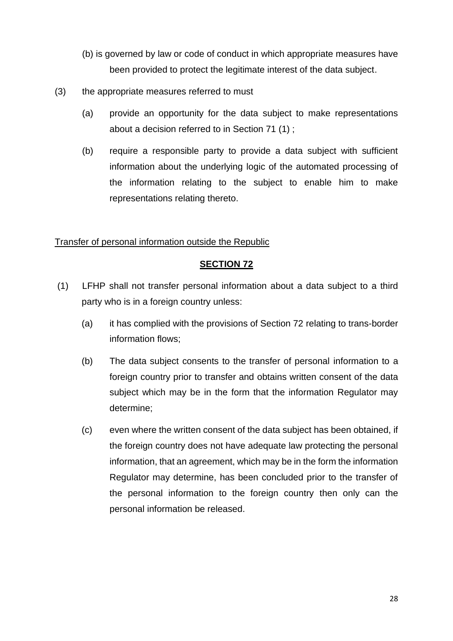- (b) is governed by law or code of conduct in which appropriate measures have been provided to protect the legitimate interest of the data subject.
- (3) the appropriate measures referred to must
	- (a) provide an opportunity for the data subject to make representations about a decision referred to in Section 71 (1) ;
	- (b) require a responsible party to provide a data subject with sufficient information about the underlying logic of the automated processing of the information relating to the subject to enable him to make representations relating thereto.

#### Transfer of personal information outside the Republic

- (1) LFHP shall not transfer personal information about a data subject to a third party who is in a foreign country unless:
	- (a) it has complied with the provisions of Section 72 relating to trans-border information flows;
	- (b) The data subject consents to the transfer of personal information to a foreign country prior to transfer and obtains written consent of the data subject which may be in the form that the information Regulator may determine;
	- (c) even where the written consent of the data subject has been obtained, if the foreign country does not have adequate law protecting the personal information, that an agreement, which may be in the form the information Regulator may determine, has been concluded prior to the transfer of the personal information to the foreign country then only can the personal information be released.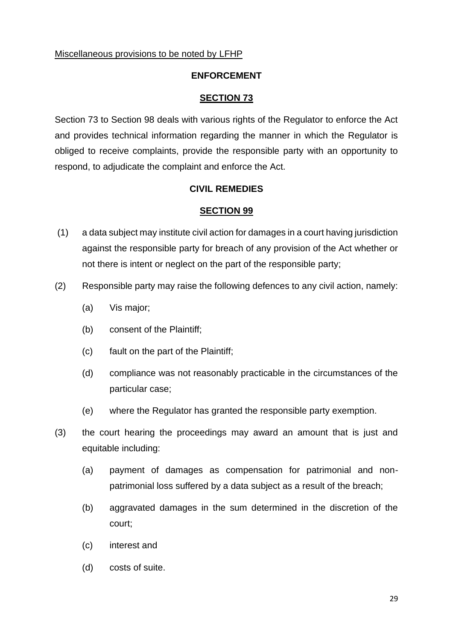#### Miscellaneous provisions to be noted by LFHP

#### **ENFORCEMENT**

#### **SECTION 73**

Section 73 to Section 98 deals with various rights of the Regulator to enforce the Act and provides technical information regarding the manner in which the Regulator is obliged to receive complaints, provide the responsible party with an opportunity to respond, to adjudicate the complaint and enforce the Act.

#### **CIVIL REMEDIES**

- (1) a data subject may institute civil action for damages in a court having jurisdiction against the responsible party for breach of any provision of the Act whether or not there is intent or neglect on the part of the responsible party;
- (2) Responsible party may raise the following defences to any civil action, namely:
	- (a) Vis major;
	- (b) consent of the Plaintiff;
	- (c) fault on the part of the Plaintiff;
	- (d) compliance was not reasonably practicable in the circumstances of the particular case;
	- (e) where the Regulator has granted the responsible party exemption.
- (3) the court hearing the proceedings may award an amount that is just and equitable including:
	- (a) payment of damages as compensation for patrimonial and nonpatrimonial loss suffered by a data subject as a result of the breach;
	- (b) aggravated damages in the sum determined in the discretion of the court;
	- (c) interest and
	- (d) costs of suite.